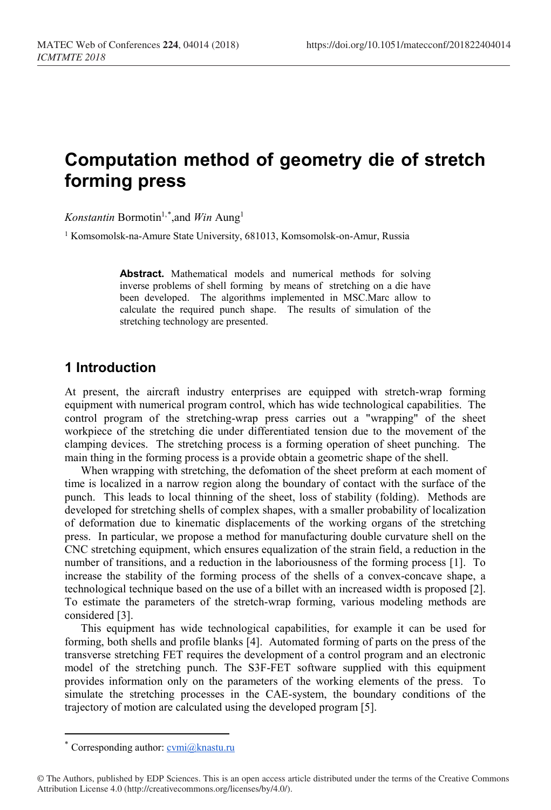# **Computation method of geometry die of stretch forming press**

*Konstantin* Bormotin1,[\\*](#page-0-0) ,and *Win* Aung1

<sup>1</sup> Komsomolsk-na-Amure State University, 681013, Komsomolsk-on-Amur, Russia

**Abstract.** Mathematical models and numerical methods for solving inverse problems of shell forming by means of stretching on a die have been developed. The algorithms implemented in MSC.Marc allow to calculate the required punch shape. The results of simulation of the stretching technology are presented.

#### **1 Introduction**

At present, the aircraft industry enterprises are equipped with stretch-wrap forming equipment with numerical program control, which has wide technological capabilities. The control program of the stretching-wrap press carries out a "wrapping" of the sheet workpiece of the stretching die under differentiated tension due to the movement of the clamping devices. The stretching process is a forming operation of sheet punching. The main thing in the forming process is a provide obtain a geometric shape of the shell.

When wrapping with stretching, the defomation of the sheet preform at each moment of time is localized in a narrow region along the boundary of contact with the surface of the punch. This leads to local thinning of the sheet, loss of stability (folding). Methods are developed for stretching shells of complex shapes, with a smaller probability of localization of deformation due to kinematic displacements of the working organs of the stretching press. In particular, we propose a method for manufacturing double curvature shell on the CNC stretching equipment, which ensures equalization of the strain field, a reduction in the number of transitions, and a reduction in the laboriousness of the forming process [1]. To increase the stability of the forming process of the shells of a convex-concave shape, a technological technique based on the use of a billet with an increased width is proposed [2]. To estimate the parameters of the stretch-wrap forming, various modeling methods are considered [3].

This equipment has wide technological capabilities, for example it can be used for forming, both shells and profile blanks [4]. Automated forming of parts on the press of the transverse stretching FET requires the development of a control program and an electronic model of the stretching punch. The S3F-FET software supplied with this equipment provides information only on the parameters of the working elements of the press. To simulate the stretching processes in the CAE-system, the boundary conditions of the trajectory of motion are calculated using the developed program [5].

 $\overline{a}$ 

Corresponding author:  $\overline{\text{cvmi}(\textit{a})}$ knastu.ru

<span id="page-0-0"></span><sup>©</sup> The Authors, published by EDP Sciences. This is an open access article distributed under the terms of the Creative Commons Attribution License 4.0 (http://creativecommons.org/licenses/by/4.0/).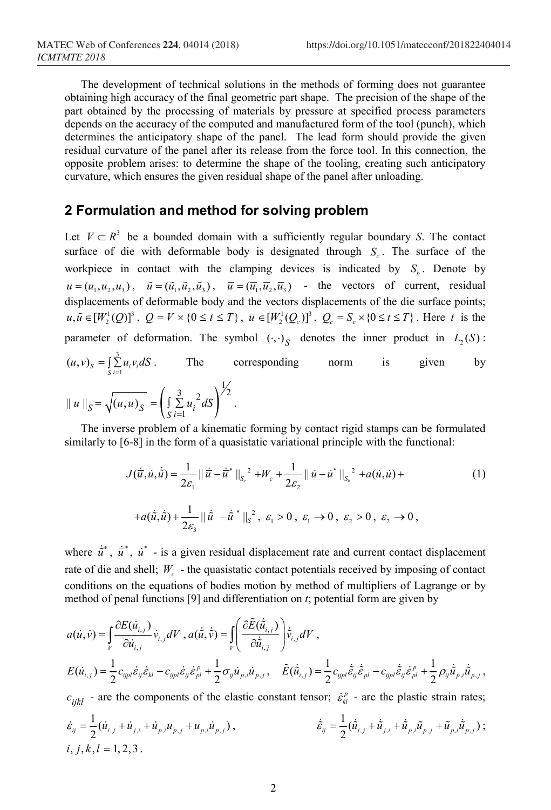The development of technical solutions in the methods of forming does not guarantee obtaining high accuracy of the final geometric part shape. The precision of the shape of the part obtained by the processing of materials by pressure at specified process parameters depends on the accuracy of the computed and manufactured form of the tool (punch), which determines the anticipatory shape of the panel. The lead form should provide the given residual curvature of the panel after its release from the force tool. In this connection, the opposite problem arises: to determine the shape of the tooling, creating such anticipatory curvature, which ensures the given residual shape of the panel after unloading.

#### **2 Formulation and method for solving problem**

Let  $V \subset R^3$  be a bounded domain with a sufficiently regular boundary *S*. The contact surface of die with deformable body is designated through  $S<sub>c</sub>$ . The surface of the workpiece in contact with the clamping devices is indicated by  $S_b$ . Denote by  $u = (u_1, u_2, u_3)$ ,  $\tilde{u} = (\tilde{u}_1, \tilde{u}_2, \tilde{u}_3)$ ,  $\overline{u} = (\overline{u}_1, \overline{u}_2, \overline{u}_3)$  - the vectors of current, residual displacements of deformable body and the vectors displacements of the die surface points;  $u, \tilde{u} \in [W_2^1(Q)]^3$ ,  $Q = V \times \{0 \le t \le T\}$ ,  $\overline{u} \in [W_2^1(Q_c)]^3$ ,  $Q_c = S_c \times \{0 \le t \le T\}$ . Here *t* is the parameter of deformation. The symbol  $(\cdot, \cdot)_S$  denotes the inner product in  $L_2(S)$ : 3  $(u, v)_s = \int_{S} \sum_{i=1}^s u_i v_i dS$ . The corresponding norm is given by  $\left( \int_{S} \sum_{i=1} u_i^2 dS \right)$  $\frac{3}{2}$  2 is  $\frac{1}{2}$  $|| u ||_S = \sqrt{(u,u)_S} = \left( \int_S \sum_{i=1}^S u_i^2 dS \right)$ .

The inverse problem of a kinematic forming by contact rigid stamps can be formulated similarly to [6-8] in the form of a quasistatic variational principle with the functional:

$$
J(\vec{u}, \dot{u}, \dot{\vec{u}}) = \frac{1}{2\varepsilon_1} ||\dot{\vec{u}} - \dot{\vec{u}}^*||_{S_c}^2 + W_c + \frac{1}{2\varepsilon_2} ||\dot{u} - \dot{u}^*||_{S_b}^2 + a(\dot{u}, \dot{u}) +
$$
  
+ $a(\dot{\vec{u}}, \dot{\vec{u}}) + \frac{1}{2\varepsilon_3} ||\dot{\vec{u}} - \dot{\vec{u}}^*||_{S_c}^2, \varepsilon_1 > 0, \varepsilon_1 \to 0, \varepsilon_2 > 0, \varepsilon_2 \to 0,$  (1)

where  $\dot{u}^*$ ,  $\dot{u}^*$ ,  $\dot{u}^*$  - is a given residual displacement rate and current contact displacement rate of die and shell; *W<sub>c</sub>* - the quasistatic contact potentials received by imposing of contact conditions on the equations of bodies motion by method of multipliers of Lagrange or by method of penal functions [9] and differentiation on *t*; potential form are given by

$$
a(\dot{u}, \dot{v}) = \int_{V} \frac{\partial E(\dot{u}_{i,j})}{\partial \dot{u}_{i,j}} \dot{v}_{i,j} dV, a(\dot{\tilde{u}}, \dot{\tilde{v}}) = \int_{V} \left( \frac{\partial \tilde{E}(\dot{\tilde{u}}_{i,j})}{\partial \dot{\tilde{u}}_{i,j}} \right) \dot{\tilde{v}}_{i,j} dV,
$$
  
\n
$$
E(\dot{u}_{i,j}) = \frac{1}{2} c_{ijpl} \dot{\tilde{\varepsilon}}_{ij} \dot{\tilde{\varepsilon}}_{kl} - c_{ijpl} \dot{\tilde{\varepsilon}}_{ij} \dot{\tilde{\varepsilon}}_{pl}^p + \frac{1}{2} \sigma_{ij} \dot{u}_{p,i} \dot{u}_{p,j}, \quad \tilde{E}(\dot{\tilde{u}}_{i,j}) = \frac{1}{2} c_{ijpl} \dot{\tilde{\varepsilon}}_{ij} \dot{\tilde{\varepsilon}}_{pl} - c_{ijpl} \dot{\tilde{\varepsilon}}_{ij} \dot{\tilde{\varepsilon}}_{pl}^p + \frac{1}{2} \rho_{ij} \dot{\tilde{u}}_{p,i} \dot{\tilde{u}}_{p,j},
$$
  
\n
$$
c_{ijkl}
$$
 - are the components of the elastic constant tensor;  $\dot{\tilde{\varepsilon}}_{kl}^p$  - are the plates;

$$
\dot{\varepsilon}_{ij} = \frac{1}{2} (\dot{u}_{i,j} + \dot{u}_{j,i} + \dot{u}_{p,i} u_{p,j} + u_{p,i} \dot{u}_{p,j}),
$$
\n
$$
\dot{\varepsilon}_{ij} = \frac{1}{2} (\dot{\tilde{u}}_{i,j} + \dot{\tilde{u}}_{j,i} + \dot{\tilde{u}}_{p,i} \tilde{u}_{p,j}) ;
$$
\n
$$
i, j, k, l = 1, 2, 3.
$$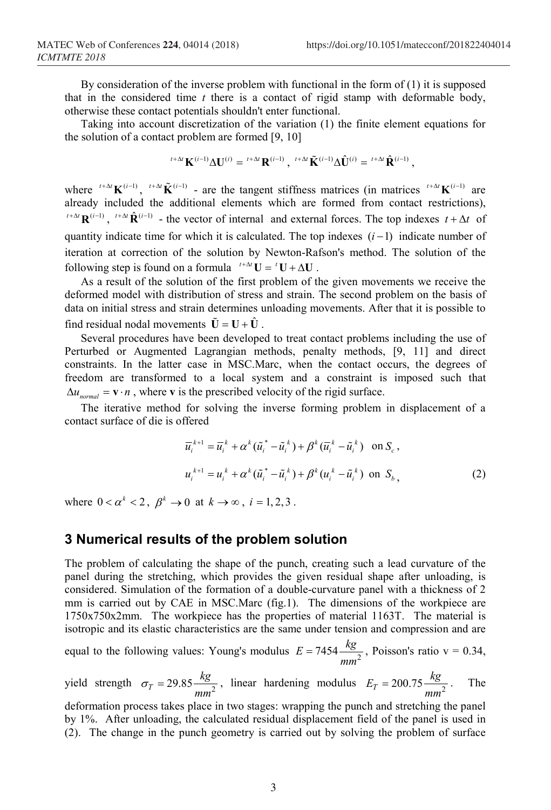By consideration of the inverse problem with functional in the form of  $(1)$  it is supposed that in the considered time *t* there is a contact of rigid stamp with deformable body, otherwise these contact potentials shouldn't enter functional.

Taking into account discretization of the variation (1) the finite element equations for the solution of a contact problem are formed [9, 10]

$$
{}^{t+\Delta t}{\bf K}^{(i-1)}\Delta{\bf U}^{(i)}={}^{t+\Delta t}{\bf R}^{(i-1)}\,,\;{}^{t+\Delta t}\tilde{{\bf K}}^{(i-1)}\Delta\hat{\bf U}^{(i)}={}^{t+\Delta t}\hat{\bf R}^{(i-1)}\,,
$$

where  ${}^{t+\Delta t}$ **K**<sup>( $i-1$ </sup>),  ${}^{t+\Delta t}$ **K** ${}^{(i-1)}$  - are the tangent stiffness matrices (in matrices  ${}^{t+\Delta t}$ **K** ${}^{(i-1)}$  are already included the additional elements which are formed from contact restrictions),  $t + \Delta t \mathbf{R}^{(i-1)}$ .  $t + \Delta t \mathbf{R}^{(i-1)}$  – the vector of internal and external forces. The top indexes  $t + \Delta t$  of quantity indicate time for which it is calculated. The top indexes  $(i-1)$  indicate number of iteration at correction of the solution by Newton-Rafson's method. The solution of the following step is found on a formula  ${}^{t+\Delta t}U = {}^{t}U + \Delta U$ .

As a result of the solution of the first problem of the given movements we receive the deformed model with distribution of stress and strain. The second problem on the basis of data on initial stress and strain determines unloading movements. After that it is possible to find residual nodal movements  $\tilde{\mathbf{U}} = \mathbf{U} + \hat{\mathbf{U}}$ .

Several procedures have been developed to treat contact problems including the use of Perturbed or Augmented Lagrangian methods, penalty methods, [9, 11] and direct constraints. In the latter case in MSC.Marc, when the contact occurs, the degrees of freedom are transformed to a local system and a constraint is imposed such that  $\Delta u_{normal} = \mathbf{v} \cdot n$ , where **v** is the prescribed velocity of the rigid surface.

The iterative method for solving the inverse forming problem in displacement of a contact surface of die is offered

$$
\overline{u}_{i}^{k+1} = \overline{u}_{i}^{k} + \alpha^{k} (\tilde{u}_{i}^{*} - \tilde{u}_{i}^{k}) + \beta^{k} (\overline{u}_{i}^{k} - \tilde{u}_{i}^{k}) \quad \text{on } S_{c},
$$
\n
$$
u_{i}^{k+1} = u_{i}^{k} + \alpha^{k} (\tilde{u}_{i}^{*} - \tilde{u}_{i}^{k}) + \beta^{k} (u_{i}^{k} - \tilde{u}_{i}^{k}) \quad \text{on } S_{b},
$$
\n(2)

where  $0 < \alpha^k < 2$ ,  $\beta^k \rightarrow 0$  at  $k \rightarrow \infty$ ,  $i = 1, 2, 3$ .

#### **3 Numerical results of the problem solution**

The problem of calculating the shape of the punch, creating such a lead curvature of the panel during the stretching, which provides the given residual shape after unloading, is considered. Simulation of the formation of a double-curvature panel with a thickness of 2 mm is carried out by CAE in MSC.Marc (fig.1). The dimensions of the workpiece are 1750x750x2mm. The workpiece has the properties of material 1163T. The material is isotropic and its elastic characteristics are the same under tension and compression and are

equal to the following values: Young's modulus  $E = 7454 \frac{kg}{mm^2}$ , Poisson's ratio v = 0.34,

yield strength  $\sigma_T = 29.85 \frac{kg}{m m^2}$  $\sigma_T = 29.85 \frac{kg}{mm^2}$ , linear hardening modulus  $E_T = 200.75 \frac{kg}{mm^2}$ . The

deformation process takes place in two stages: wrapping the punch and stretching the panel by 1%. After unloading, the calculated residual displacement field of the panel is used in (2). The change in the punch geometry is carried out by solving the problem of surface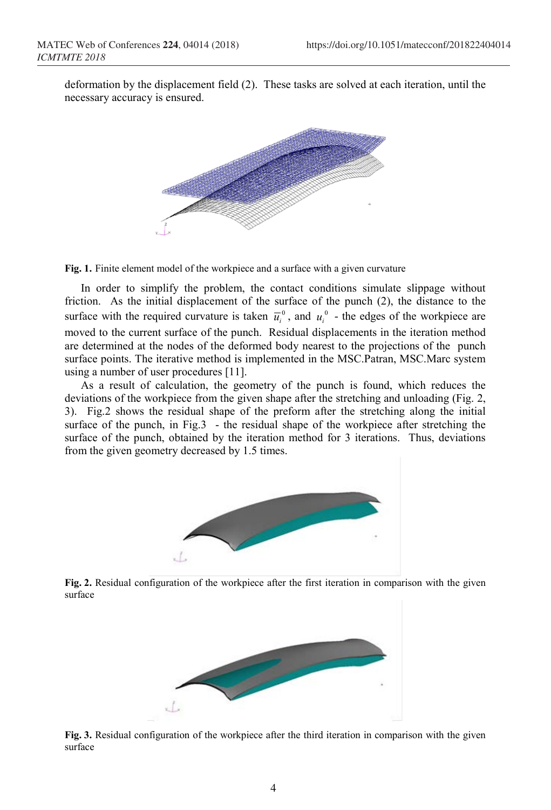deformation by the displacement field (2). These tasks are solved at each iteration, until the necessary accuracy is ensured.



**Fig. 1.** Finite element model of the workpiece and a surface with a given curvature

In order to simplify the problem, the contact conditions simulate slippage without friction. As the initial displacement of the surface of the punch (2), the distance to the surface with the required curvature is taken  $\overline{u}_i^0$ , and  $u_i^0$  - the edges of the workpiece are moved to the current surface of the punch. Residual displacements in the iteration method are determined at the nodes of the deformed body nearest to the projections of the punch surface points. The iterative method is implemented in the MSC.Patran, MSC.Marc system using a number of user procedures [11].

As a result of calculation, the geometry of the punch is found, which reduces the deviations of the workpiece from the given shape after the stretching and unloading (Fig. 2, 3). Fig.2 shows the residual shape of the preform after the stretching along the initial surface of the punch, in Fig.3 - the residual shape of the workpiece after stretching the surface of the punch, obtained by the iteration method for 3 iterations. Thus, deviations from the given geometry decreased by 1.5 times.



**Fig. 2.** Residual configuration of the workpiece after the first iteration in comparison with the given surface



**Fig. 3.** Residual configuration of the workpiece after the third iteration in comparison with the given surface